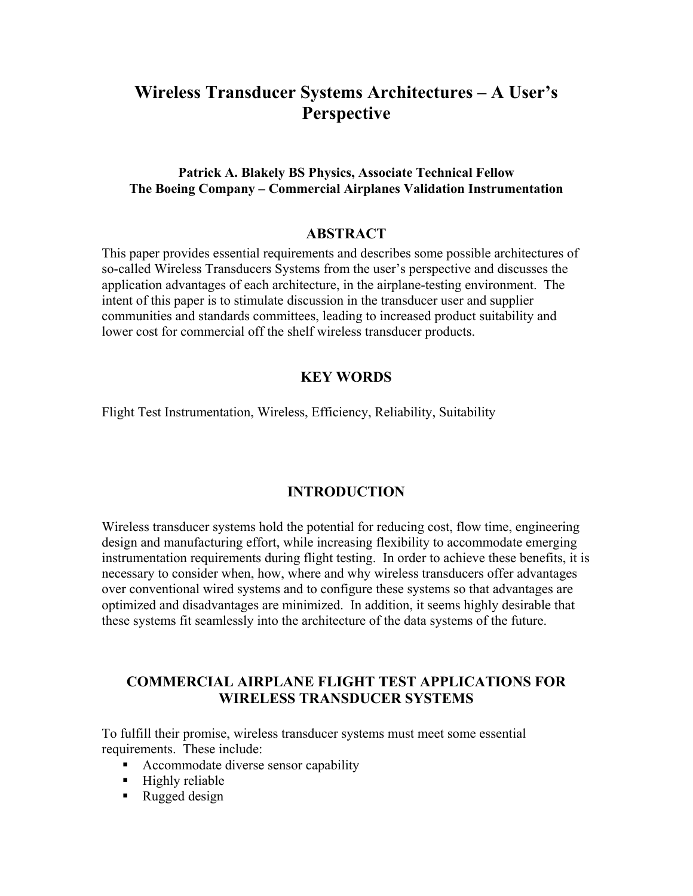# **Wireless Transducer Systems Architectures – A User's Perspective**

### **Patrick A. Blakely BS Physics, Associate Technical Fellow The Boeing Company – Commercial Airplanes Validation Instrumentation**

#### **ABSTRACT**

This paper provides essential requirements and describes some possible architectures of so-called Wireless Transducers Systems from the user's perspective and discusses the application advantages of each architecture, in the airplane-testing environment. The intent of this paper is to stimulate discussion in the transducer user and supplier communities and standards committees, leading to increased product suitability and lower cost for commercial off the shelf wireless transducer products.

### **KEY WORDS**

Flight Test Instrumentation, Wireless, Efficiency, Reliability, Suitability

#### **INTRODUCTION**

Wireless transducer systems hold the potential for reducing cost, flow time, engineering design and manufacturing effort, while increasing flexibility to accommodate emerging instrumentation requirements during flight testing. In order to achieve these benefits, it is necessary to consider when, how, where and why wireless transducers offer advantages over conventional wired systems and to configure these systems so that advantages are optimized and disadvantages are minimized. In addition, it seems highly desirable that these systems fit seamlessly into the architecture of the data systems of the future.

## **COMMERCIAL AIRPLANE FLIGHT TEST APPLICATIONS FOR WIRELESS TRANSDUCER SYSTEMS**

To fulfill their promise, wireless transducer systems must meet some essential requirements.These include:

- **Accommodate diverse sensor capability**
- $\blacksquare$  Highly reliable
- Rugged design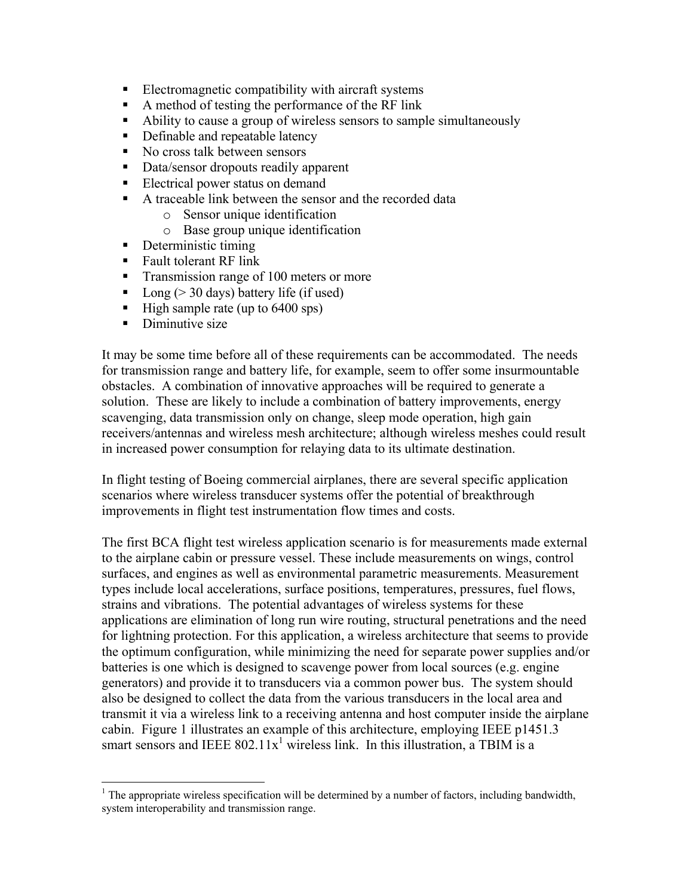- Electromagnetic compatibility with aircraft systems
- A method of testing the performance of the RF link
- Ability to cause a group of wireless sensors to sample simultaneously
- Definable and repeatable latency
- No cross talk between sensors
- Data/sensor dropouts readily apparent
- Electrical power status on demand
- A traceable link between the sensor and the recorded data
	- o Sensor unique identification
	- o Base group unique identification
- Deterministic timing
- Fault tolerant RF link
- **Transmission range of 100 meters or more**
- $\blacksquare$  Long (> 30 days) battery life (if used)
- $\blacksquare$  High sample rate (up to 6400 sps)
- Diminutive size

 $\overline{a}$ 

It may be some time before all of these requirements can be accommodated. The needs for transmission range and battery life, for example, seem to offer some insurmountable obstacles. A combination of innovative approaches will be required to generate a solution. These are likely to include a combination of battery improvements, energy scavenging, data transmission only on change, sleep mode operation, high gain receivers/antennas and wireless mesh architecture; although wireless meshes could result in increased power consumption for relaying data to its ultimate destination.

In flight testing of Boeing commercial airplanes, there are several specific application scenarios where wireless transducer systems offer the potential of breakthrough improvements in flight test instrumentation flow times and costs.

The first BCA flight test wireless application scenario is for measurements made external to the airplane cabin or pressure vessel. These include measurements on wings, control surfaces, and engines as well as environmental parametric measurements. Measurement types include local accelerations, surface positions, temperatures, pressures, fuel flows, strains and vibrations. The potential advantages of wireless systems for these applications are elimination of long run wire routing, structural penetrations and the need for lightning protection. For this application, a wireless architecture that seems to provide the optimum configuration, while minimizing the need for separate power supplies and/or batteries is one which is designed to scavenge power from local sources (e.g. engine generators) and provide it to transducers via a common power bus. The system should also be designed to collect the data from the various transducers in the local area and transmit it via a wireless link to a receiving antenna and host computer inside the airplane cabin. Figure 1 illustrates an example of this architecture, employing IEEE p1451.3 smart sensors and IEEE  $802.11x^1$  $802.11x^1$  $802.11x^1$  wireless link. In this illustration, a TBIM is a

<span id="page-1-0"></span> $<sup>1</sup>$  The appropriate wireless specification will be determined by a number of factors, including bandwidth,</sup> system interoperability and transmission range.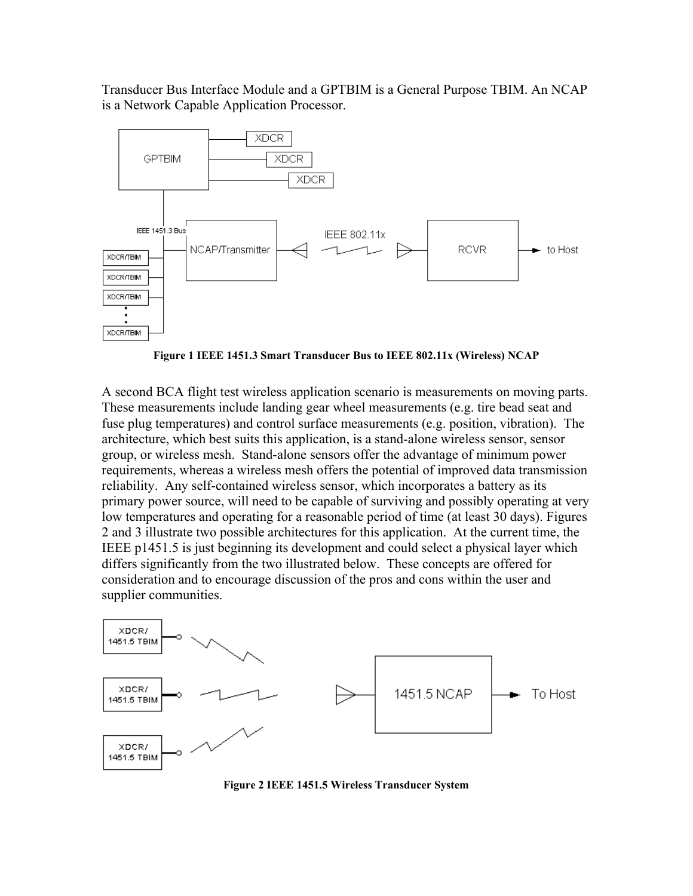Transducer Bus Interface Module and a GPTBIM is a General Purpose TBIM. An NCAP is a Network Capable Application Processor.



**Figure 1 IEEE 1451.3 Smart Transducer Bus to IEEE 802.11x (Wireless) NCAP** 

A second BCA flight test wireless application scenario is measurements on moving parts. These measurements include landing gear wheel measurements (e.g. tire bead seat and fuse plug temperatures) and control surface measurements (e.g. position, vibration). The architecture, which best suits this application, is a stand-alone wireless sensor, sensor group, or wireless mesh. Stand-alone sensors offer the advantage of minimum power requirements, whereas a wireless mesh offers the potential of improved data transmission reliability. Any self-contained wireless sensor, which incorporates a battery as its primary power source, will need to be capable of surviving and possibly operating at very low temperatures and operating for a reasonable period of time (at least 30 days). Figures 2 and 3 illustrate two possible architectures for this application. At the current time, the IEEE p1451.5 is just beginning its development and could select a physical layer which differs significantly from the two illustrated below. These concepts are offered for consideration and to encourage discussion of the pros and cons within the user and supplier communities.



**Figure 2 IEEE 1451.5 Wireless Transducer System**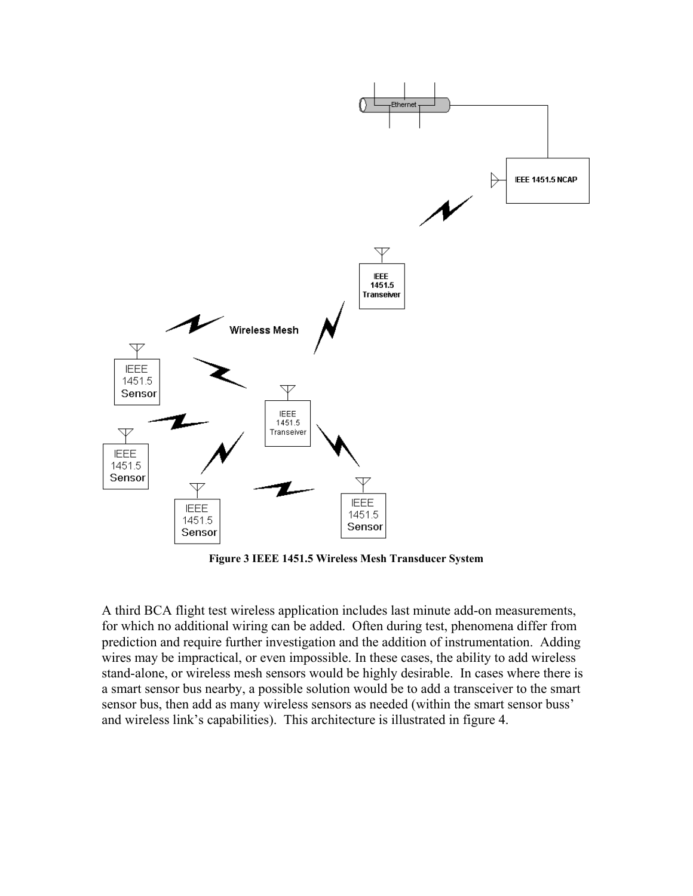

**Figure 3 IEEE 1451.5 Wireless Mesh Transducer System**

A third BCA flight test wireless application includes last minute add-on measurements, for which no additional wiring can be added. Often during test, phenomena differ from prediction and require further investigation and the addition of instrumentation. Adding wires may be impractical, or even impossible. In these cases, the ability to add wireless stand-alone, or wireless mesh sensors would be highly desirable. In cases where there is a smart sensor bus nearby, a possible solution would be to add a transceiver to the smart sensor bus, then add as many wireless sensors as needed (within the smart sensor buss' and wireless link's capabilities). This architecture is illustrated in figure 4.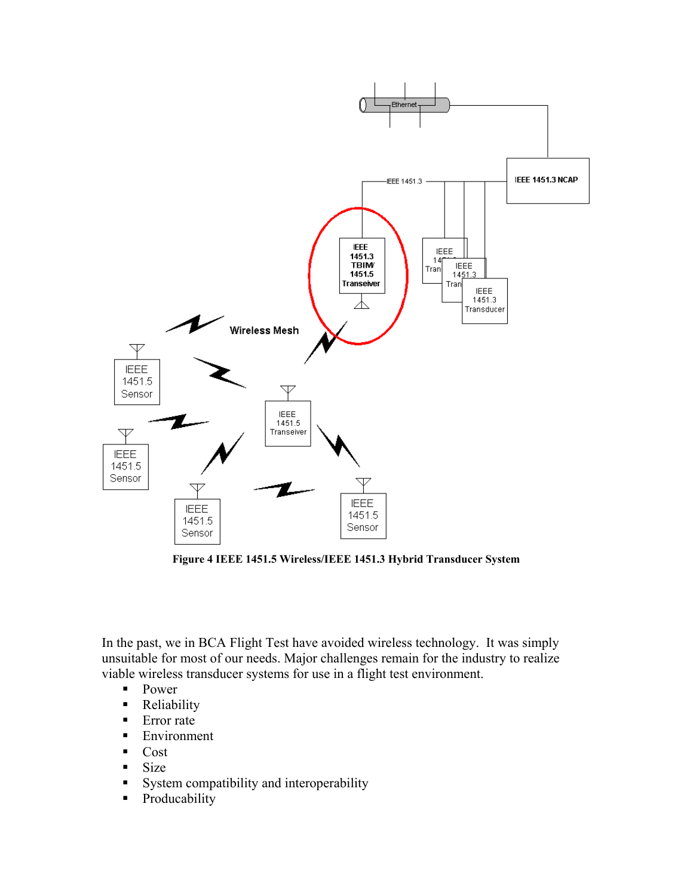

**Figure 4 IEEE 1451.5 Wireless/IEEE 1451.3 Hybrid Transducer System** 

In the past, we in BCA Flight Test have avoided wireless technology. It was simply unsuitable for most of our needs. Major challenges remain for the industry to realize viable wireless transducer systems for use in a flight test environment.

- **Power**
- Reliability
- **Error** rate
- **Environment**
- **Cost**
- $\blacksquare$  Size
- System compatibility and interoperability
- **•** Producability